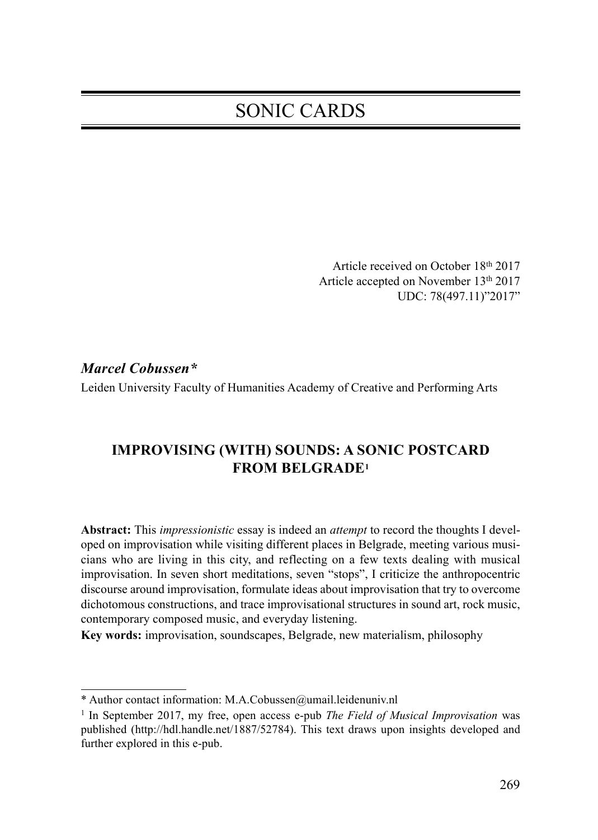# SONIC CARDS

Article received on October 18th 2017 Article accepted on November 13th 2017 UDC: 78(497.11)"2017"

Marcel Cobussen\*

Leiden University Faculty of Humanities Academy of Creative and Performing Arts

# IMPROVISING (WITH) SOUNDS: A SONIC POSTCARD FROM BELGRADE1

Abstract: This *impressionistic* essay is indeed an *attempt* to record the thoughts I developed on improvisation while visiting different places in Belgrade, meeting various musicians who are living in this city, and reflecting on a few texts dealing with musical improvisation. In seven short meditations, seven "stops", I criticize the anthropocentric discourse around improvisation, formulate ideas about improvisation that try to overcome dichotomous constructions, and trace improvisational structures in sound art, rock music, contemporary composed music, and everyday listening.

Key words: improvisation, soundscapes, Belgrade, new materialism, philosophy

<sup>\*</sup> Author contact information: M.A.Cobussen@umail.leidenuniv.nl

<sup>&</sup>lt;sup>1</sup> In September 2017, my free, open access e-pub *The Field of Musical Improvisation* was published (http://hdl.handle.net/1887/52784). This text draws upon insights developed and further explored in this e-pub.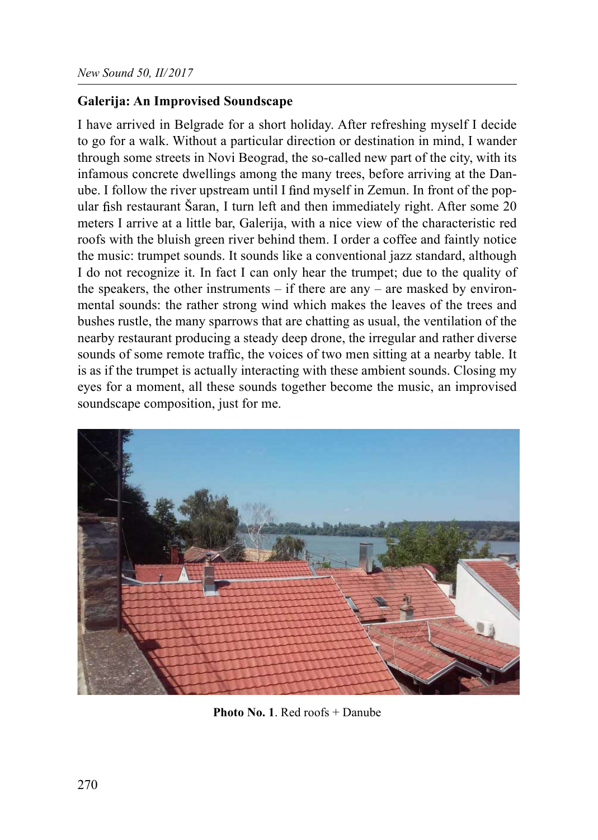### Galerija: An Improvised Soundscape

I have arrived in Belgrade for a short holiday. After refreshing myself I decide to go for a walk. Without a particular direction or destination in mind, I wander through some streets in Novi Beograd, the so-called new part of the city, with its infamous concrete dwellings among the many trees, before arriving at the Danube. I follow the river upstream until I find myself in Zemun. In front of the popular fish restaurant Šaran, I turn left and then immediately right. After some 20 meters I arrive at a little bar, Galerija, with a nice view of the characteristic red roofs with the bluish green river behind them. I order a coffee and faintly notice the music: trumpet sounds. It sounds like a conventional jazz standard, although I do not recognize it. In fact I can only hear the trumpet; due to the quality of the speakers, the other instruments  $-$  if there are any  $-$  are masked by environmental sounds: the rather strong wind which makes the leaves of the trees and bushes rustle, the many sparrows that are chatting as usual, the ventilation of the nearby restaurant producing a steady deep drone, the irregular and rather diverse sounds of some remote traffic, the voices of two men sitting at a nearby table. It is as if the trumpet is actually interacting with these ambient sounds. Closing my eyes for a moment, all these sounds together become the music, an improvised soundscape composition, just for me.



Photo No. 1. Red roofs + Danube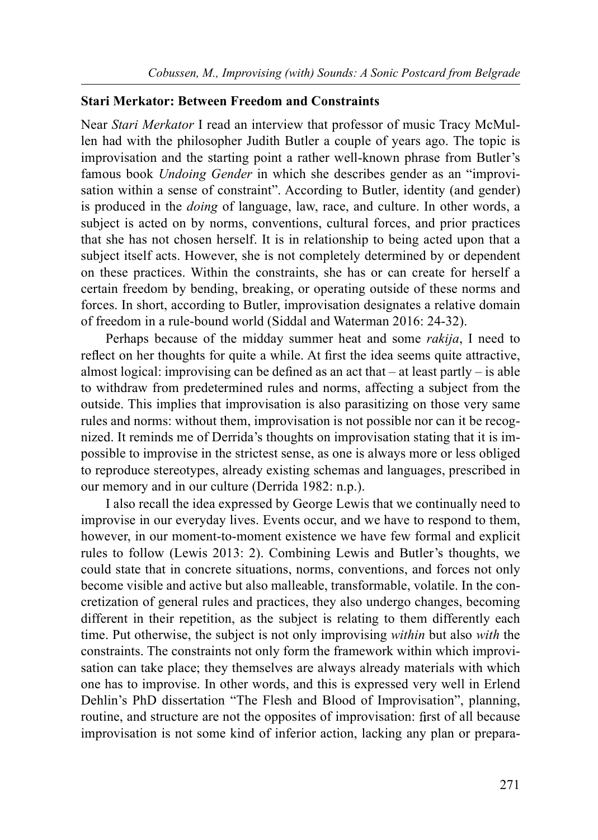#### Stari Merkator: Between Freedom and Constraints

Near *Stari Merkator* I read an interview that professor of music Tracy McMullen had with the philosopher Judith Butler a couple of years ago. The topic is improvisation and the starting point a rather well-known phrase from Butler's famous book Undoing Gender in which she describes gender as an "improvisation within a sense of constraint". According to Butler, identity (and gender) is produced in the doing of language, law, race, and culture. In other words, a subject is acted on by norms, conventions, cultural forces, and prior practices that she has not chosen herself. It is in relationship to being acted upon that a subject itself acts. However, she is not completely determined by or dependent on these practices. Within the constraints, she has or can create for herself a certain freedom by bending, breaking, or operating outside of these norms and forces. In short, according to Butler, improvisation designates a relative domain of freedom in a rule-bound world (Siddal and Waterman 2016: 24-32).

Perhaps because of the midday summer heat and some *rakija*, I need to reflect on her thoughts for quite a while. At first the idea seems quite attractive, almost logical: improvising can be defined as an act that  $-$  at least partly  $-$  is able to withdraw from predetermined rules and norms, affecting a subject from the outside. This implies that improvisation is also parasitizing on those very same rules and norms: without them, improvisation is not possible nor can it be recognized. It reminds me of Derrida's thoughts on improvisation stating that it is impossible to improvise in the strictest sense, as one is always more or less obliged to reproduce stereotypes, already existing schemas and languages, prescribed in our memory and in our culture (Derrida 1982: n.p.).

I also recall the idea expressed by George Lewis that we continually need to improvise in our everyday lives. Events occur, and we have to respond to them, however, in our moment-to-moment existence we have few formal and explicit rules to follow (Lewis 2013: 2). Combining Lewis and Butler's thoughts, we could state that in concrete situations, norms, conventions, and forces not only become visible and active but also malleable, transformable, volatile. In the concretization of general rules and practices, they also undergo changes, becoming different in their repetition, as the subject is relating to them differently each time. Put otherwise, the subject is not only improvising *within* but also *with* the constraints. The constraints not only form the framework within which improvisation can take place; they themselves are always already materials with which one has to improvise. In other words, and this is expressed very well in Erlend Dehlin's PhD dissertation "The Flesh and Blood of Improvisation", planning, routine, and structure are not the opposites of improvisation: first of all because improvisation is not some kind of inferior action, lacking any plan or prepara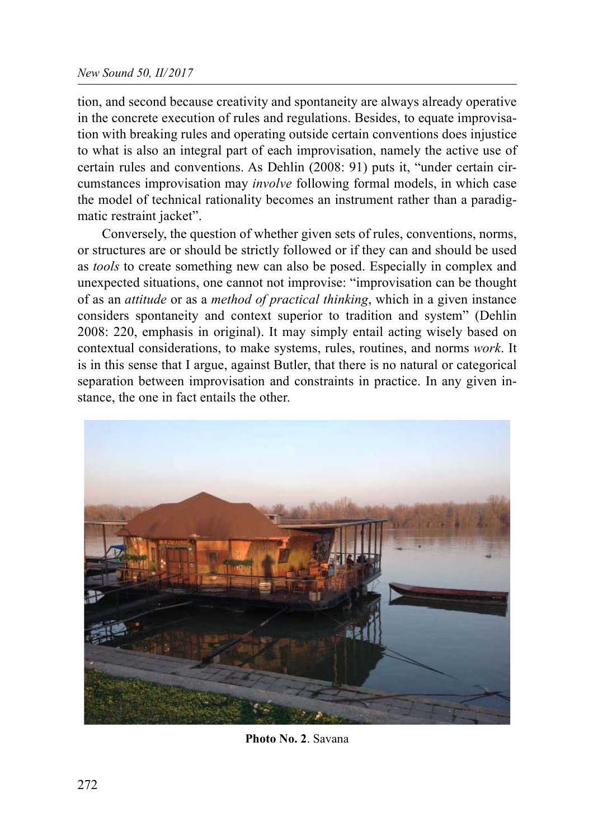tion, and second because creativity and spontaneity are always already operative in the concrete execution of rules and regulations. Besides, to equate improvisation with breaking rules and operating outside certain conventions does injustice to what is also an integral part of each improvisation, namely the active use of certain rules and conventions. As Dehlin (2008: 91) puts it, "under certain circumstances improvisation may involve following formal models, in which case the model of technical rationality becomes an instrument rather than a paradigmatic restraint jacket".

Conversely, the question of whether given sets of rules, conventions, norms, or structures are or should be strictly followed or if they can and should be used as *tools* to create something new can also be posed. Especially in complex and unexpected situations, one cannot not improvise: "improvisation can be thought of as an *attitude* or as a *method of practical thinking*, which in a given instance considers spontaneity and context superior to tradition and system" (Dehlin 2008: 220, emphasis in original). It may simply entail acting wisely based on contextual considerations, to make systems, rules, routines, and norms work. It is in this sense that I argue, against Butler, that there is no natural or categorical separation between improvisation and constraints in practice. In any given instance, the one in fact entails the other.



Photo No. 2. Savana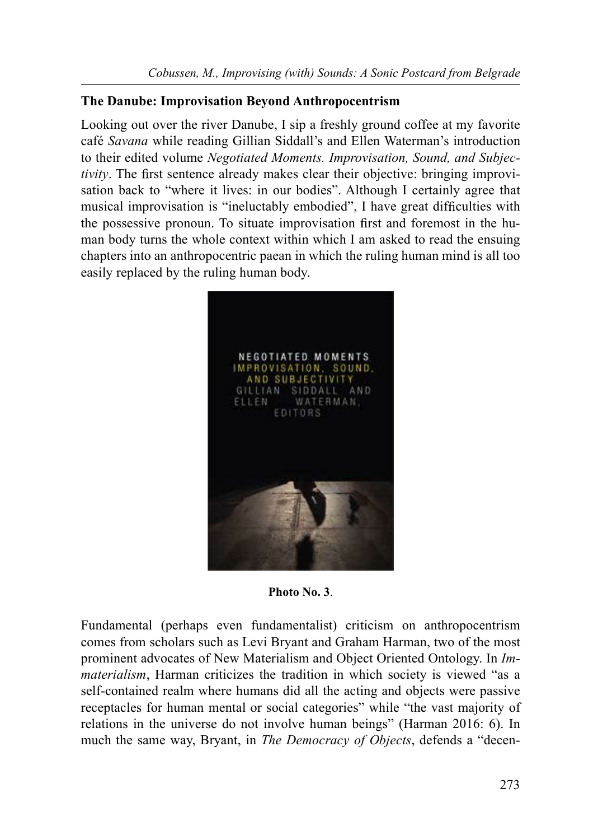## The Danube: Improvisation Beyond Anthropocentrism

Looking out over the river Danube, I sip a freshly ground coffee at my favorite café Savana while reading Gillian Siddall's and Ellen Waterman's introduction to their edited volume Negotiated Moments. Improvisation, Sound, and Subjectivity. The first sentence already makes clear their objective: bringing improvisation back to "where it lives: in our bodies". Although I certainly agree that musical improvisation is "ineluctably embodied". I have great difficulties with the possessive pronoun. To situate improvisation first and foremost in the human body turns the whole context within which I am asked to read the ensuing chapters into an anthropocentric paean in which the ruling human mind is all too easily replaced by the ruling human body.



Photo No. 3.

Fundamental (perhaps even fundamentalist) criticism on anthropocentrism comes from scholars such as Levi Bryant and Graham Harman, two of the most prominent advocates of New Materialism and Object Oriented Ontology. In Immaterialism, Harman criticizes the tradition in which society is viewed "as a self-contained realm where humans did all the acting and objects were passive receptacles for human mental or social categories" while "the vast majority of relations in the universe do not involve human beings" (Harman 2016: 6). In much the same way, Bryant, in The Democracy of Objects, defends a "decen-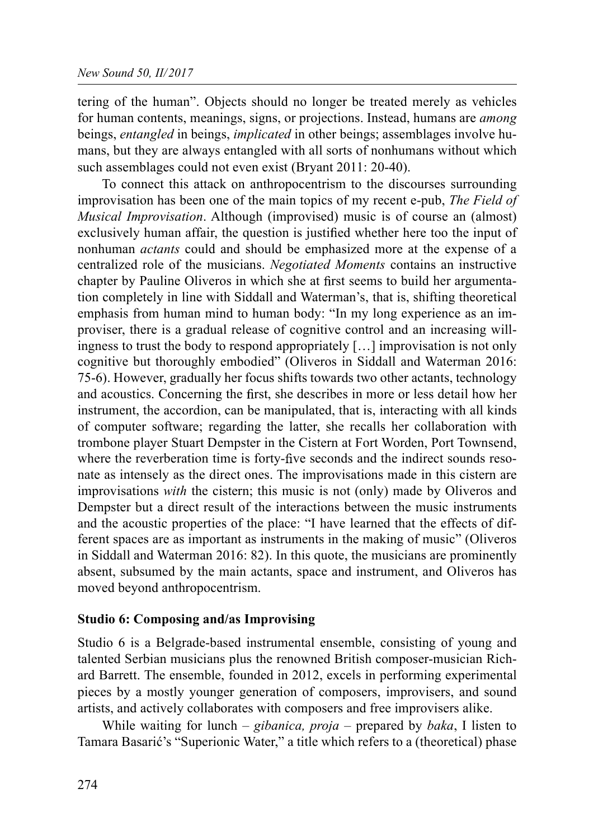tering of the human". Objects should no longer be treated merely as vehicles for human contents, meanings, signs, or projections. Instead, humans are among beings, entangled in beings, *implicated* in other beings; assemblages involve humans, but they are always entangled with all sorts of nonhumans without which such assemblages could not even exist (Bryant 2011: 20-40).

To connect this attack on anthropocentrism to the discourses surrounding improvisation has been one of the main topics of my recent e-pub, The Field of Musical Improvisation. Although (improvised) music is of course an (almost) exclusively human affair, the question is justified whether here too the input of nonhuman *actants* could and should be emphasized more at the expense of a centralized role of the musicians. Negotiated Moments contains an instructive chapter by Pauline Oliveros in which she at first seems to build her argumentation completely in line with Siddall and Waterman's, that is, shifting theoretical emphasis from human mind to human body: "In my long experience as an improviser, there is a gradual release of cognitive control and an increasing willingness to trust the body to respond appropriately […] improvisation is not only cognitive but thoroughly embodied" (Oliveros in Siddall and Waterman 2016: 75-6). However, gradually her focus shifts towards two other actants, technology and acoustics. Concerning the first, she describes in more or less detail how her instrument, the accordion, can be manipulated, that is, interacting with all kinds of computer software; regarding the latter, she recalls her collaboration with trombone player Stuart Dempster in the Cistern at Fort Worden, Port Townsend, where the reverberation time is forty-five seconds and the indirect sounds resonate as intensely as the direct ones. The improvisations made in this cistern are improvisations with the cistern; this music is not (only) made by Oliveros and Dempster but a direct result of the interactions between the music instruments and the acoustic properties of the place: "I have learned that the effects of different spaces are as important as instruments in the making of music" (Oliveros in Siddall and Waterman 2016: 82). In this quote, the musicians are prominently absent, subsumed by the main actants, space and instrument, and Oliveros has moved beyond anthropocentrism.

#### Studio 6: Composing and/as Improvising

Studio 6 is a Belgrade-based instrumental ensemble, consisting of young and talented Serbian musicians plus the renowned British composer-musician Richard Barrett. The ensemble, founded in 2012, excels in performing experimental pieces by a mostly younger generation of composers, improvisers, and sound artists, and actively collaborates with composers and free improvisers alike.

While waiting for lunch – gibanica,  $proj_a$  – prepared by baka, I listen to Tamara Basarić's "Superionic Water," a title which refers to a (theoretical) phase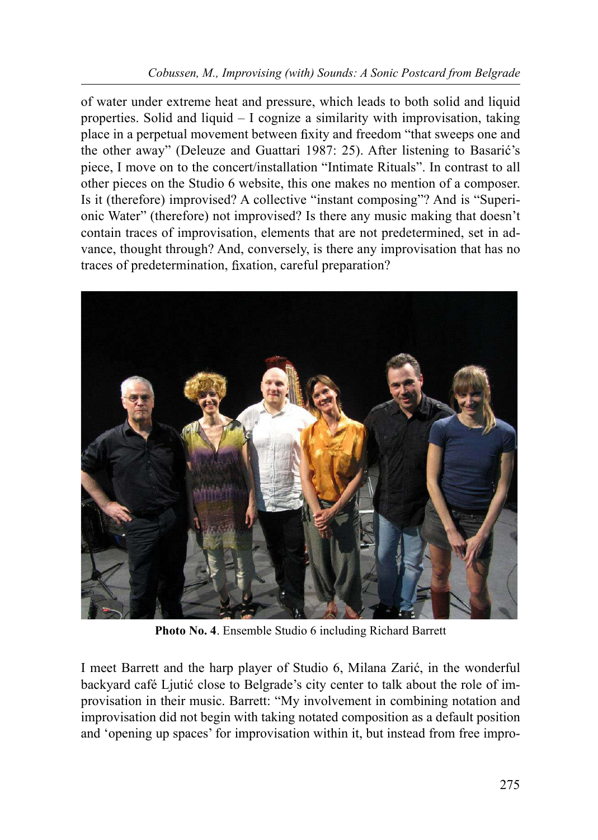## Cobussen, M., Improvising (with) Sounds: A Sonic Postcard from Belgrade

of water under extreme heat and pressure, which leads to both solid and liquid properties. Solid and liquid – I cognize a similarity with improvisation, taking place in a perpetual movement between fixity and freedom "that sweeps one and the other away" (Deleuze and Guattari 1987: 25). After listening to Basarić's piece, I move on to the concert/installation "Intimate Rituals". In contrast to all other pieces on the Studio 6 website, this one makes no mention of a composer. Is it (therefore) improvised? A collective "instant composing"? And is "Superionic Water" (therefore) not improvised? Is there any music making that doesn't contain traces of improvisation, elements that are not predetermined, set in advance, thought through? And, conversely, is there any improvisation that has no traces of predetermination, fixation, careful preparation?



Photo No. 4. Ensemble Studio 6 including Richard Barrett

I meet Barrett and the harp player of Studio 6, Milana Zarić, in the wonderful backyard café Ljutić close to Belgrade's city center to talk about the role of improvisation in their music. Barrett: "My involvement in combining notation and improvisation did not begin with taking notated composition as a default position and 'opening up spaces' for improvisation within it, but instead from free impro-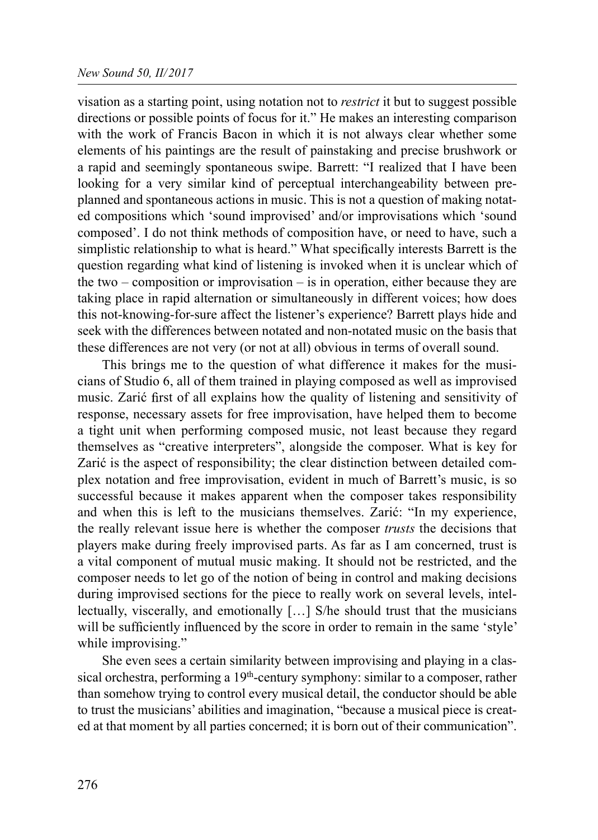visation as a starting point, using notation not to *restrict* it but to suggest possible directions or possible points of focus for it." He makes an interesting comparison with the work of Francis Bacon in which it is not always clear whether some elements of his paintings are the result of painstaking and precise brushwork or a rapid and seemingly spontaneous swipe. Barrett: "I realized that I have been looking for a very similar kind of perceptual interchangeability between preplanned and spontaneous actions in music. This is not a question of making notated compositions which 'sound improvised' and/or improvisations which 'sound composed'. I do not think methods of composition have, or need to have, such a simplistic relationship to what is heard." What specifically interests Barrett is the question regarding what kind of listening is invoked when it is unclear which of the two – composition or improvisation – is in operation, either because they are taking place in rapid alternation or simultaneously in different voices; how does this not-knowing-for-sure affect the listener's experience? Barrett plays hide and seek with the differences between notated and non-notated music on the basis that these differences are not very (or not at all) obvious in terms of overall sound.

This brings me to the question of what difference it makes for the musicians of Studio 6, all of them trained in playing composed as well as improvised music. Zarić first of all explains how the quality of listening and sensitivity of response, necessary assets for free improvisation, have helped them to become a tight unit when performing composed music, not least because they regard themselves as "creative interpreters", alongside the composer. What is key for Zarić is the aspect of responsibility; the clear distinction between detailed complex notation and free improvisation, evident in much of Barrett's music, is so successful because it makes apparent when the composer takes responsibility and when this is left to the musicians themselves. Zarić: "In my experience, the really relevant issue here is whether the composer trusts the decisions that players make during freely improvised parts. As far as I am concerned, trust is a vital component of mutual music making. It should not be restricted, and the composer needs to let go of the notion of being in control and making decisions during improvised sections for the piece to really work on several levels, intellectually, viscerally, and emotionally […] S/he should trust that the musicians will be sufficiently influenced by the score in order to remain in the same 'style' while improvising."

She even sees a certain similarity between improvising and playing in a classical orchestra, performing a 19<sup>th</sup>-century symphony: similar to a composer, rather than somehow trying to control every musical detail, the conductor should be able to trust the musicians' abilities and imagination, "because a musical piece is created at that moment by all parties concerned; it is born out of their communication".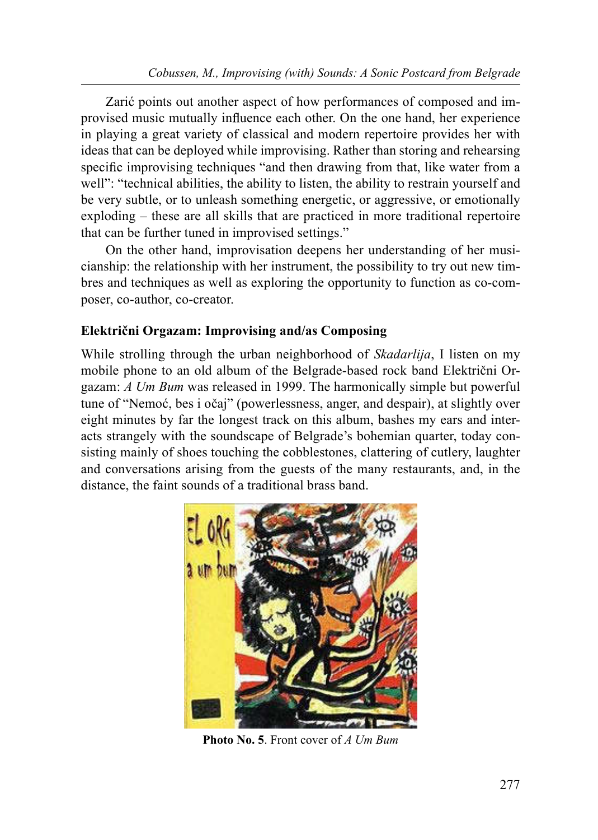Zarić points out another aspect of how performances of composed and improvised music mutually influence each other. On the one hand, her experience in playing a great variety of classical and modern repertoire provides her with ideas that can be deployed while improvising. Rather than storing and rehearsing specific improvising techniques "and then drawing from that, like water from a well": "technical abilities, the ability to listen, the ability to restrain yourself and be very subtle, or to unleash something energetic, or aggressive, or emotionally exploding – these are all skills that are practiced in more traditional repertoire that can be further tuned in improvised settings."

On the other hand, improvisation deepens her understanding of her musicianship: the relationship with her instrument, the possibility to try out new timbres and techniques as well as exploring the opportunity to function as co-composer, co-author, co-creator.

## Električni Orgazam: Improvising and/as Composing

While strolling through the urban neighborhood of *Skadarlija*, I listen on my mobile phone to an old album of the Belgrade-based rock band Električni Orgazam: A Um Bum was released in 1999. The harmonically simple but powerful tune of "Nemoć, bes i očaj" (powerlessness, anger, and despair), at slightly over eight minutes by far the longest track on this album, bashes my ears and interacts strangely with the soundscape of Belgrade's bohemian quarter, today consisting mainly of shoes touching the cobblestones, clattering of cutlery, laughter and conversations arising from the guests of the many restaurants, and, in the distance, the faint sounds of a traditional brass band.



Photo No. 5. Front cover of A Um Bum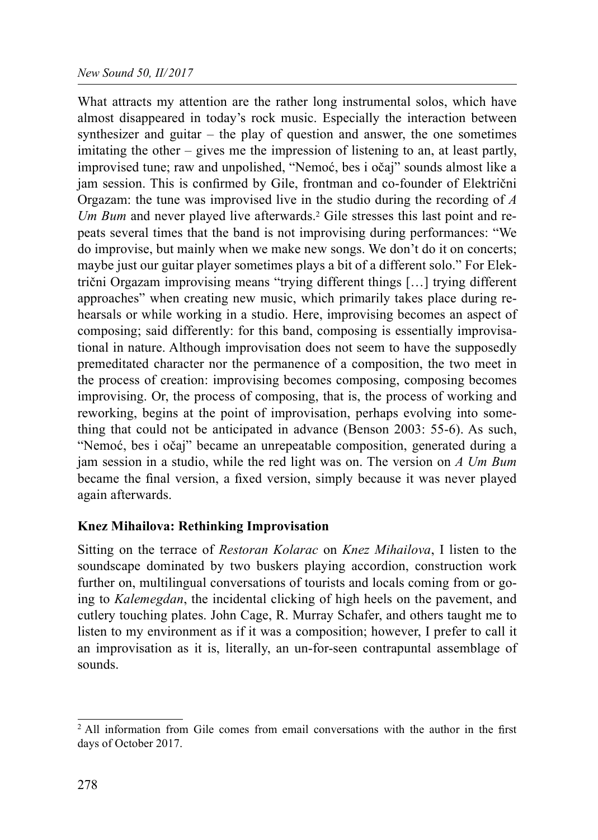#### New Sound 50, II/2017

What attracts my attention are the rather long instrumental solos, which have almost disappeared in today's rock music. Especially the interaction between synthesizer and guitar – the play of question and answer, the one sometimes imitating the other – gives me the impression of listening to an, at least partly, improvised tune; raw and unpolished, "Nemoć, bes i očaj" sounds almost like a jam session. This is confirmed by Gile, frontman and co-founder of Električni Orgazam: the tune was improvised live in the studio during the recording of  $A$ Um Bum and never played live afterwards.<sup>2</sup> Gile stresses this last point and repeats several times that the band is not improvising during performances: "We do improvise, but mainly when we make new songs. We don't do it on concerts; maybe just our guitar player sometimes plays a bit of a different solo." For Električni Orgazam improvising means "trying different things […] trying different approaches" when creating new music, which primarily takes place during rehearsals or while working in a studio. Here, improvising becomes an aspect of composing; said differently: for this band, composing is essentially improvisational in nature. Although improvisation does not seem to have the supposedly premeditated character nor the permanence of a composition, the two meet in the process of creation: improvising becomes composing, composing becomes improvising. Or, the process of composing, that is, the process of working and reworking, begins at the point of improvisation, perhaps evolving into something that could not be anticipated in advance (Benson 2003: 55-6). As such, "Nemoć, bes i očaj" became an unrepeatable composition, generated during a jam session in a studio, while the red light was on. The version on  $A$  Um Bum became the final version, a fixed version, simply because it was never played again afterwards.

## Knez Mihailova: Rethinking Improvisation

Sitting on the terrace of Restoran Kolarac on Knez Mihailova, I listen to the soundscape dominated by two buskers playing accordion, construction work further on, multilingual conversations of tourists and locals coming from or going to Kalemegdan, the incidental clicking of high heels on the pavement, and cutlery touching plates. John Cage, R. Murray Schafer, and others taught me to listen to my environment as if it was a composition; however, I prefer to call it an improvisation as it is, literally, an un-for-seen contrapuntal assemblage of sounds.

 $2$  All information from Gile comes from email conversations with the author in the first days of October 2017.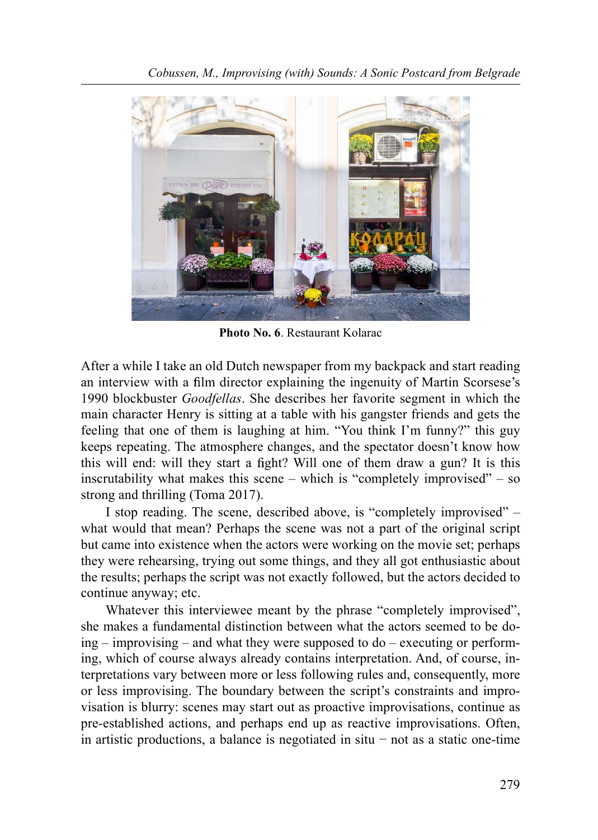

Photo No. 6. Restaurant Kolarac

After a while I take an old Dutch newspaper from my backpack and start reading an interview with a film director explaining the ingenuity of Martin Scorsese's 1990 blockbuster Goodfellas. She describes her favorite segment in which the main character Henry is sitting at a table with his gangster friends and gets the feeling that one of them is laughing at him. "You think I'm funny?" this guy keeps repeating. The atmosphere changes, and the spectator doesn't know how this will end: will they start a fight? Will one of them draw a gun? It is this inscrutability what makes this scene – which is "completely improvised" – so strong and thrilling (Toma 2017).

I stop reading. The scene, described above, is "completely improvised" – what would that mean? Perhaps the scene was not a part of the original script but came into existence when the actors were working on the movie set; perhaps they were rehearsing, trying out some things, and they all got enthusiastic about the results; perhaps the script was not exactly followed, but the actors decided to continue anyway; etc.

Whatever this interviewee meant by the phrase "completely improvised", she makes a fundamental distinction between what the actors seemed to be doing – improvising – and what they were supposed to do – executing or performing, which of course always already contains interpretation. And, of course, interpretations vary between more or less following rules and, consequently, more or less improvising. The boundary between the script's constraints and improvisation is blurry: scenes may start out as proactive improvisations, continue as pre-established actions, and perhaps end up as reactive improvisations. Often, in artistic productions, a balance is negotiated in situ − not as a static one-time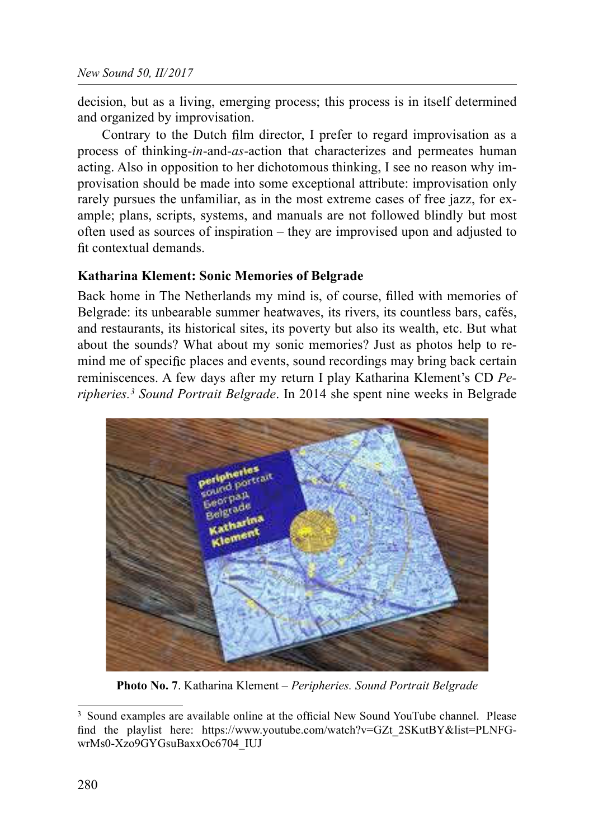decision, but as a living, emerging process; this process is in itself determined and organized by improvisation.

Contrary to the Dutch film director, I prefer to regard improvisation as a process of thinking-in-and-as-action that characterizes and permeates human acting. Also in opposition to her dichotomous thinking, I see no reason why improvisation should be made into some exceptional attribute: improvisation only rarely pursues the unfamiliar, as in the most extreme cases of free jazz, for example; plans, scripts, systems, and manuals are not followed blindly but most often used as sources of inspiration – they are improvised upon and adjusted to fit contextual demands

## Katharina Klement: Sonic Memories of Belgrade

Back home in The Netherlands my mind is, of course, filled with memories of Belgrade: its unbearable summer heatwaves, its rivers, its countless bars, cafés, and restaurants, its historical sites, its poverty but also its wealth, etc. But what about the sounds? What about my sonic memories? Just as photos help to remind me of specific places and events, sound recordings may bring back certain reminiscences. A few days after my return I play Katharina Klement's CD Peripheries.<sup>3</sup> Sound Portrait Belgrade. In 2014 she spent nine weeks in Belgrade



Photo No. 7. Katharina Klement - Peripheries. Sound Portrait Belgrade

<sup>&</sup>lt;sup>3</sup> Sound examples are available online at the official New Sound YouTube channel. Please find the playlist here: https://www.youtube.com/watch?v=GZt\_2SKutBY&list=PLNFGwrMs0-Xzo9GYGsuBaxxOc6704\_IUJ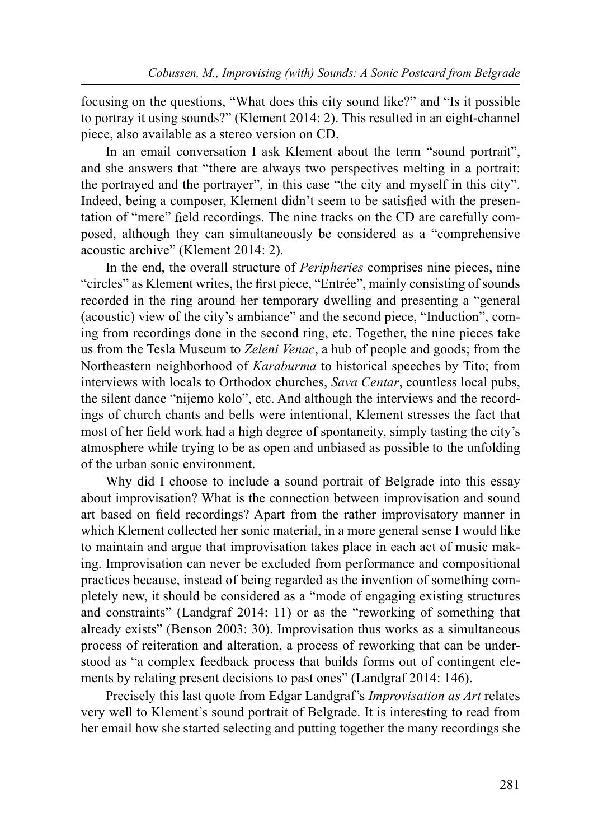focusing on the questions, "What does this city sound like?" and "Is it possible to portray it using sounds?" (Klement 2014: 2). This resulted in an eight-channel piece, also available as a stereo version on CD.

In an email conversation I ask Klement about the term "sound portrait", and she answers that "there are always two perspectives melting in a portrait: the portrayed and the portrayer", in this case "the city and myself in this city". Indeed, being a composer, Klement didn't seem to be satisfied with the presentation of "mere" field recordings. The nine tracks on the CD are carefully composed, although they can simultaneously be considered as a "comprehensive acoustic archive" (Klement 2014: 2).

In the end, the overall structure of Peripheries comprises nine pieces, nine "circles" as Klement writes, the first piece, "Entrée", mainly consisting of sounds recorded in the ring around her temporary dwelling and presenting a "general (acoustic) view of the city's ambiance" and the second piece, "Induction", coming from recordings done in the second ring, etc. Together, the nine pieces take us from the Tesla Museum to Zeleni Venac, a hub of people and goods; from the Northeastern neighborhood of Karaburma to historical speeches by Tito; from interviews with locals to Orthodox churches, Sava Centar, countless local pubs, the silent dance "nijemo kolo", etc. And although the interviews and the recordings of church chants and bells were intentional, Klement stresses the fact that most of her field work had a high degree of spontaneity, simply tasting the city's atmosphere while trying to be as open and unbiased as possible to the unfolding of the urban sonic environment.

Why did I choose to include a sound portrait of Belgrade into this essay about improvisation? What is the connection between improvisation and sound art based on field recordings? Apart from the rather improvisatory manner in which Klement collected her sonic material, in a more general sense I would like to maintain and argue that improvisation takes place in each act of music making. Improvisation can never be excluded from performance and compositional practices because, instead of being regarded as the invention of something completely new, it should be considered as a "mode of engaging existing structures and constraints" (Landgraf 2014: 11) or as the "reworking of something that already exists" (Benson 2003: 30). Improvisation thus works as a simultaneous process of reiteration and alteration, a process of reworking that can be understood as "a complex feedback process that builds forms out of contingent elements by relating present decisions to past ones" (Landgraf 2014: 146).

Precisely this last quote from Edgar Landgraf's *Improvisation as Art* relates very well to Klement's sound portrait of Belgrade. It is interesting to read from her email how she started selecting and putting together the many recordings she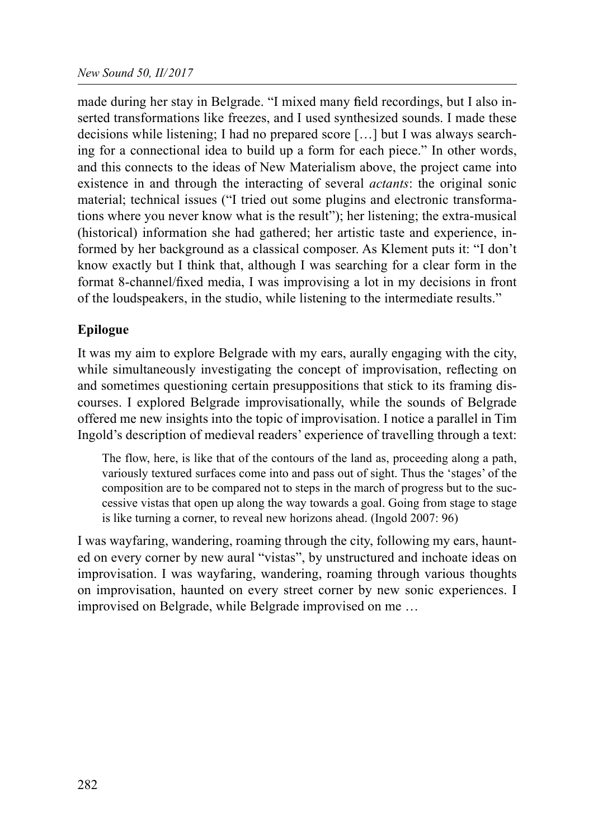made during her stay in Belgrade. "I mixed many field recordings, but I also inserted transformations like freezes, and I used synthesized sounds. I made these decisions while listening; I had no prepared score […] but I was always searching for a connectional idea to build up a form for each piece." In other words, and this connects to the ideas of New Materialism above, the project came into existence in and through the interacting of several *actants*: the original sonic material; technical issues ("I tried out some plugins and electronic transformations where you never know what is the result"); her listening; the extra-musical (historical) information she had gathered; her artistic taste and experience, informed by her background as a classical composer. As Klement puts it: "I don't know exactly but I think that, although I was searching for a clear form in the format 8-channel/fixed media, I was improvising a lot in my decisions in front of the loudspeakers, in the studio, while listening to the intermediate results."

# Epilogue

It was my aim to explore Belgrade with my ears, aurally engaging with the city, while simultaneously investigating the concept of improvisation, reflecting on and sometimes questioning certain presuppositions that stick to its framing discourses. I explored Belgrade improvisationally, while the sounds of Belgrade offered me new insights into the topic of improvisation. I notice a parallel in Tim Ingold's description of medieval readers' experience of travelling through a text:

The flow, here, is like that of the contours of the land as, proceeding along a path, variously textured surfaces come into and pass out of sight. Thus the 'stages' of the composition are to be compared not to steps in the march of progress but to the successive vistas that open up along the way towards a goal. Going from stage to stage is like turning a corner, to reveal new horizons ahead. (Ingold 2007: 96)

I was wayfaring, wandering, roaming through the city, following my ears, haunted on every corner by new aural "vistas", by unstructured and inchoate ideas on improvisation. I was wayfaring, wandering, roaming through various thoughts on improvisation, haunted on every street corner by new sonic experiences. I improvised on Belgrade, while Belgrade improvised on me …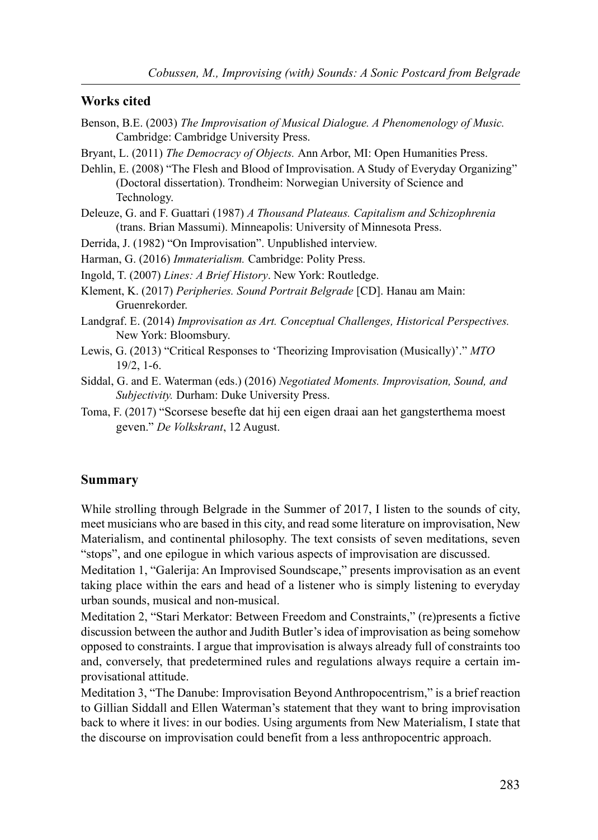#### Works cited

- Benson, B.E. (2003) The Improvisation of Musical Dialogue. A Phenomenology of Music. Cambridge: Cambridge University Press.
- Bryant, L. (2011) The Democracy of Objects. Ann Arbor, MI: Open Humanities Press.
- Dehlin, E. (2008) "The Flesh and Blood of Improvisation. A Study of Everyday Organizing" (Doctoral dissertation). Trondheim: Norwegian University of Science and Technology.
- Deleuze, G. and F. Guattari (1987) A Thousand Plateaus. Capitalism and Schizophrenia (trans. Brian Massumi). Minneapolis: University of Minnesota Press.
- Derrida, J. (1982) "On Improvisation". Unpublished interview.
- Harman, G. (2016) Immaterialism. Cambridge: Polity Press.
- Ingold, T. (2007) Lines: A Brief History. New York: Routledge.
- Klement, K. (2017) Peripheries. Sound Portrait Belgrade [CD]. Hanau am Main: Gruenrekorder.
- Landgraf. E. (2014) Improvisation as Art. Conceptual Challenges, Historical Perspectives. New York: Bloomsbury.
- Lewis, G. (2013) "Critical Responses to 'Theorizing Improvisation (Musically)'." MTO 19/2, 1-6.
- Siddal, G. and E. Waterman (eds.) (2016) Negotiated Moments. Improvisation, Sound, and Subjectivity. Durham: Duke University Press.
- Toma, F. (2017) "Scorsese besefte dat hij een eigen draai aan het gangsterthema moest geven." De Volkskrant, 12 August.

#### Summary

While strolling through Belgrade in the Summer of 2017, I listen to the sounds of city, meet musicians who are based in this city, and read some literature on improvisation, New Materialism, and continental philosophy. The text consists of seven meditations, seven "stops", and one epilogue in which various aspects of improvisation are discussed.

Meditation 1, "Galerija: An Improvised Soundscape," presents improvisation as an event taking place within the ears and head of a listener who is simply listening to everyday urban sounds, musical and non-musical.

Meditation 2, "Stari Merkator: Between Freedom and Constraints," (re)presents a fictive discussion between the author and Judith Butler's idea of improvisation as being somehow opposed to constraints. I argue that improvisation is always already full of constraints too and, conversely, that predetermined rules and regulations always require a certain improvisational attitude.

Meditation 3, "The Danube: Improvisation Beyond Anthropocentrism," is a brief reaction to Gillian Siddall and Ellen Waterman's statement that they want to bring improvisation back to where it lives: in our bodies. Using arguments from New Materialism, I state that the discourse on improvisation could benefit from a less anthropocentric approach.